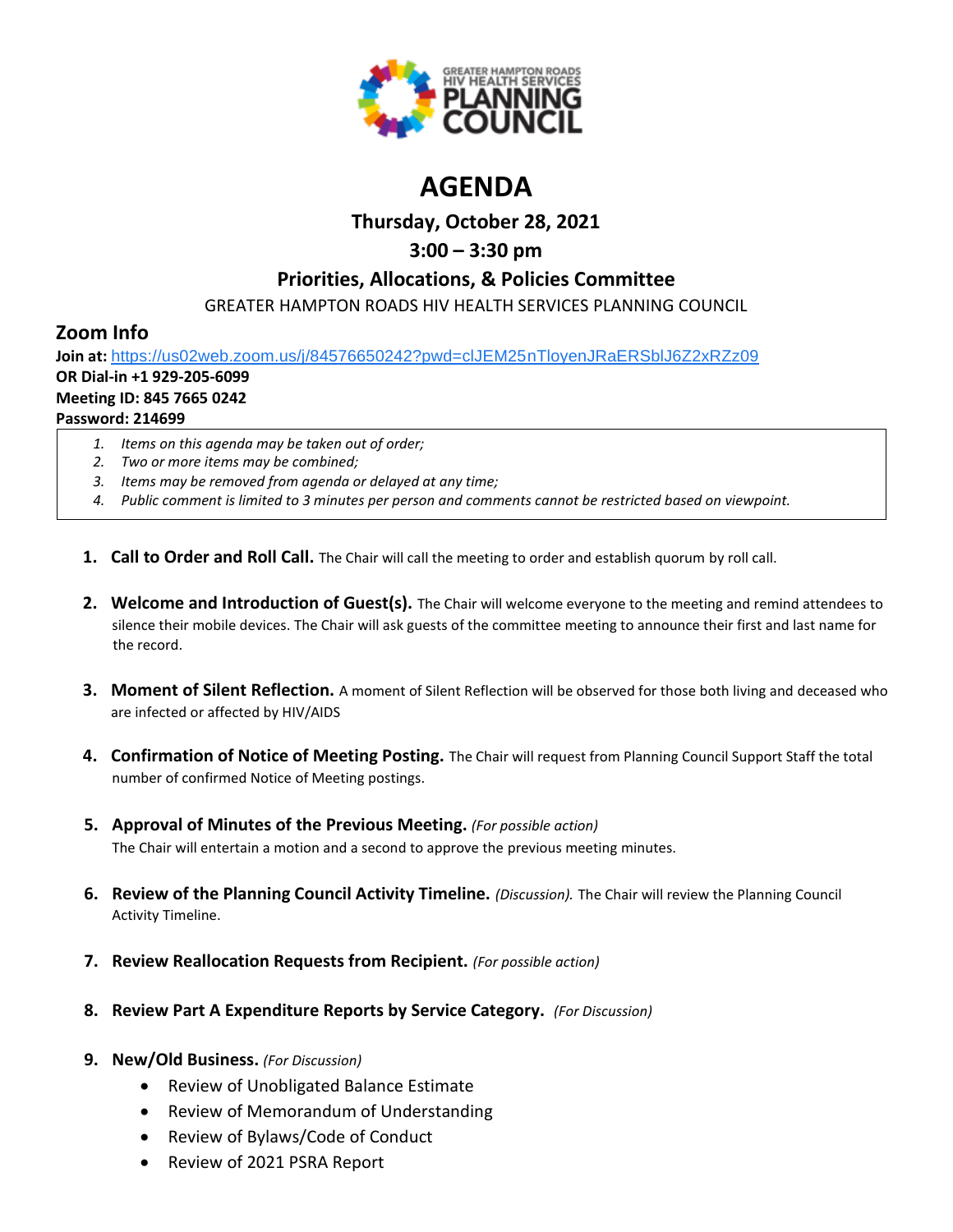

# **AGENDA**

## **Thursday, October 28, 2021**

# **3:00 – 3:30 pm**

## **Priorities, Allocations, & Policies Committee**

GREATER HAMPTON ROADS HIV HEALTH SERVICES PLANNING COUNCIL

# **Zoom Info**

**Join at:** [https://us02web.zoom.us/j/84576650242?pwd=clJEM25nTloyenJRaERSblJ6Z2xRZz09](https://www.google.com/url?q=https://us02web.zoom.us/j/84576650242?pwd%3DclJEM25nTloyenJRaERSblJ6Z2xRZz09&sa=D&source=calendar&ust=1616595038982000&usg=AOvVaw3sK6cNtpF8kGuryyzK0Ew9)

# **OR Dial-in +1 929-205-6099**

### **Meeting ID: 845 7665 0242 Password: 214699**

- *1. Items on this agenda may be taken out of order;*
- *2. Two or more items may be combined;*
- *3. Items may be removed from agenda or delayed at any time;*
- *4. Public comment is limited to 3 minutes per person and comments cannot be restricted based on viewpoint.*
- **1. Call to Order and Roll Call.** The Chair will call the meeting to order and establish quorum by roll call.
- **2. Welcome and Introduction of Guest(s).** The Chair will welcome everyone to the meeting and remind attendees to silence their mobile devices. The Chair will ask guests of the committee meeting to announce their first and last name for the record.
- **3. Moment of Silent Reflection.** A moment of Silent Reflection will be observed for those both living and deceased who are infected or affected by HIV/AIDS
- **4. Confirmation of Notice of Meeting Posting.** The Chair will request from Planning Council Support Staff the total number of confirmed Notice of Meeting postings.
- **5. Approval of Minutes of the Previous Meeting.** *(For possible action)* The Chair will entertain a motion and a second to approve the previous meeting minutes.
- **6. Review of the Planning Council Activity Timeline.** *(Discussion).* The Chair will review the Planning Council Activity Timeline.
- **7. Review Reallocation Requests from Recipient.** *(For possible action)*
- **8. Review Part A Expenditure Reports by Service Category.** *(For Discussion)*

### **9. New/Old Business.** *(For Discussion)*

- Review of Unobligated Balance Estimate
- Review of Memorandum of Understanding
- Review of Bylaws/Code of Conduct
- Review of 2021 PSRA Report